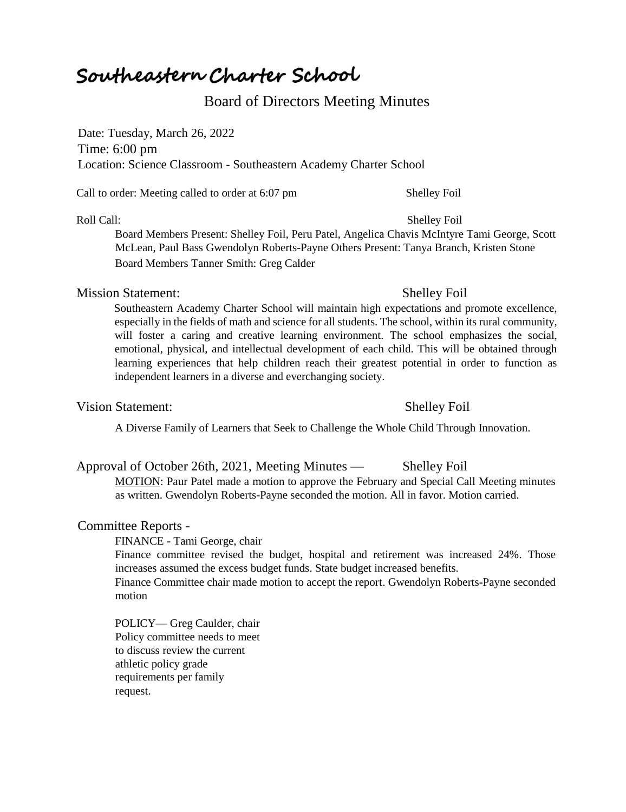# Southeastern Charter School

## Board of Directors Meeting Minutes

Date: Tuesday, March 26, 2022 Time: 6:00 pm Location: Science Classroom - Southeastern Academy Charter School

Call to order: Meeting called to order at 6:07 pm Shelley Foil

Roll Call: Shelley Foil Board Members Present: Shelley Foil, Peru Patel, Angelica Chavis McIntyre Tami George, Scott McLean, Paul Bass Gwendolyn Roberts-Payne Others Present: Tanya Branch, Kristen Stone Board Members Tanner Smith: Greg Calder

### Mission Statement: Shelley Foil

Southeastern Academy Charter School will maintain high expectations and promote excellence, especially in the fields of math and science for all students. The school, within its rural community, will foster a caring and creative learning environment. The school emphasizes the social, emotional, physical, and intellectual development of each child. This will be obtained through learning experiences that help children reach their greatest potential in order to function as independent learners in a diverse and everchanging society.

### Vision Statement: Shelley Foil

A Diverse Family of Learners that Seek to Challenge the Whole Child Through Innovation.

### Approval of October 26th, 2021, Meeting Minutes — Shelley Foil

MOTION: Paur Patel made a motion to approve the February and Special Call Meeting minutes as written. Gwendolyn Roberts-Payne seconded the motion. All in favor. Motion carried.

### Committee Reports -

FINANCE - Tami George, chair

Finance committee revised the budget, hospital and retirement was increased 24%. Those increases assumed the excess budget funds. State budget increased benefits.

Finance Committee chair made motion to accept the report. Gwendolyn Roberts-Payne seconded motion

POLICY— Greg Caulder, chair Policy committee needs to meet to discuss review the current athletic policy grade requirements per family request.